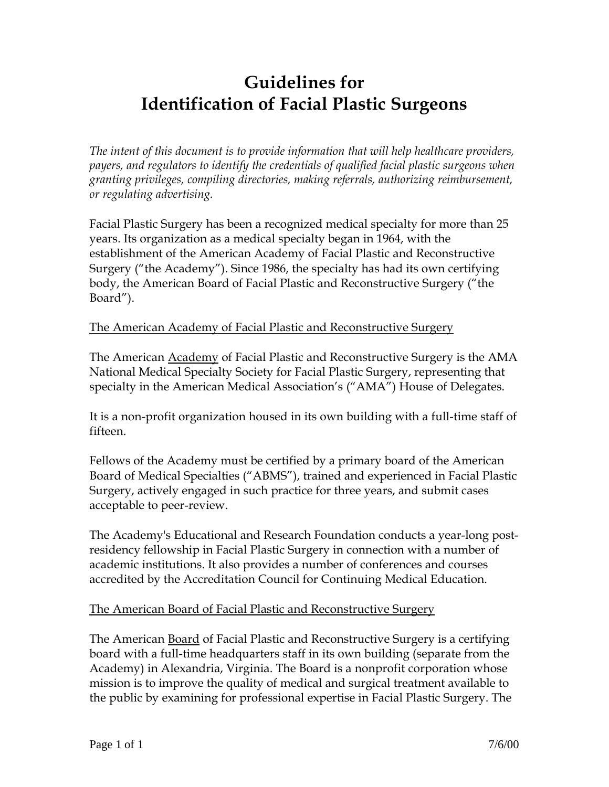# **Guidelines for Identification of Facial Plastic Surgeons**

*The intent of this document is to provide information that will help healthcare providers, payers, and regulators to identify the credentials of qualified facial plastic surgeons when granting privileges, compiling directories, making referrals, authorizing reimbursement, or regulating advertising.*

Facial Plastic Surgery has been a recognized medical specialty for more than 25 years. Its organization as a medical specialty began in 1964, with the establishment of the American Academy of Facial Plastic and Reconstructive Surgery ("the Academy"). Since 1986, the specialty has had its own certifying body, the American Board of Facial Plastic and Reconstructive Surgery ("the Board").

## The American Academy of Facial Plastic and Reconstructive Surgery

The American Academy of Facial Plastic and Reconstructive Surgery is the AMA National Medical Specialty Society for Facial Plastic Surgery, representing that specialty in the American Medical Association's ("AMA") House of Delegates.

It is a non-profit organization housed in its own building with a full-time staff of fifteen.

Fellows of the Academy must be certified by a primary board of the American Board of Medical Specialties ("ABMS"), trained and experienced in Facial Plastic Surgery, actively engaged in such practice for three years, and submit cases acceptable to peer-review.

The Academy's Educational and Research Foundation conducts a year-long postresidency fellowship in Facial Plastic Surgery in connection with a number of academic institutions. It also provides a number of conferences and courses accredited by the Accreditation Council for Continuing Medical Education.

## The American Board of Facial Plastic and Reconstructive Surgery

The American Board of Facial Plastic and Reconstructive Surgery is a certifying board with a full-time headquarters staff in its own building (separate from the Academy) in Alexandria, Virginia. The Board is a nonprofit corporation whose mission is to improve the quality of medical and surgical treatment available to the public by examining for professional expertise in Facial Plastic Surgery. The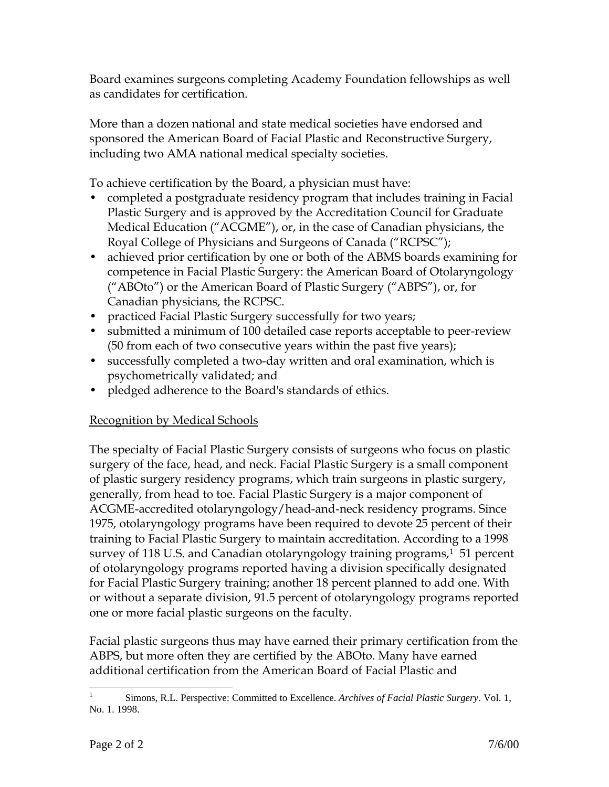Board examines surgeons completing Academy Foundation fellowships as well as candidates for certification.

More than a dozen national and state medical societies have endorsed and sponsored the American Board of Facial Plastic and Reconstructive Surgery, including two AMA national medical specialty societies.

To achieve certification by the Board, a physician must have:

- completed a postgraduate residency program that includes training in Facial Plastic Surgery and is approved by the Accreditation Council for Graduate Medical Education ("ACGME"), or, in the case of Canadian physicians, the Royal College of Physicians and Surgeons of Canada ("RCPSC");
- achieved prior certification by one or both of the ABMS boards examining for competence in Facial Plastic Surgery: the American Board of Otolaryngology ("ABOto") or the American Board of Plastic Surgery ("ABPS"), or, for Canadian physicians, the RCPSC.
- practiced Facial Plastic Surgery successfully for two years;
- submitted a minimum of 100 detailed case reports acceptable to peer-review (50 from each of two consecutive years within the past five years);
- successfully completed a two-day written and oral examination, which is psychometrically validated; and
- pledged adherence to the Board's standards of ethics.

## Recognition by Medical Schools

The specialty of Facial Plastic Surgery consists of surgeons who focus on plastic surgery of the face, head, and neck. Facial Plastic Surgery is a small component of plastic surgery residency programs, which train surgeons in plastic surgery, generally, from head to toe. Facial Plastic Surgery is a major component of ACGME-accredited otolaryngology/head-and-neck residency programs. Since 1975, otolaryngology programs have been required to devote 25 percent of their training to Facial Plastic Surgery to maintain accreditation. According to a 1998 survey of 118 U.S. and Canadian otolaryngology training programs,<sup>1</sup> 51 percent of otolaryngology programs reported having a division specifically designated for Facial Plastic Surgery training; another 18 percent planned to add one. With or without a separate division, 91.5 percent of otolaryngology programs reported one or more facial plastic surgeons on the faculty.

Facial plastic surgeons thus may have earned their primary certification from the ABPS, but more often they are certified by the ABOto. Many have earned additional certification from the American Board of Facial Plastic and

 $\frac{1}{1}$ Simons, R.L. Perspective: Committed to Excellence. *Archives of Facial Plastic Surgery*. Vol. 1, No. 1. 1998.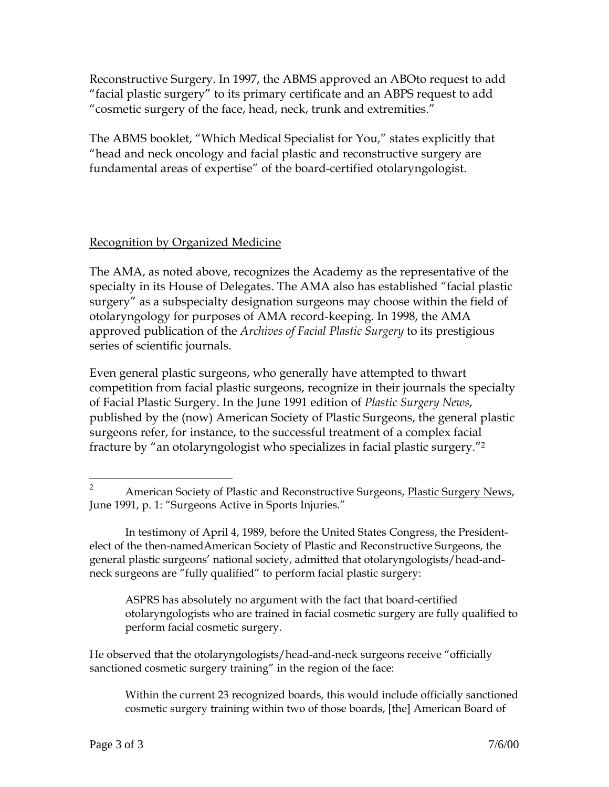Reconstructive Surgery. In 1997, the ABMS approved an ABOto request to add "facial plastic surgery" to its primary certificate and an ABPS request to add "cosmetic surgery of the face, head, neck, trunk and extremities."

The ABMS booklet, "Which Medical Specialist for You," states explicitly that "head and neck oncology and facial plastic and reconstructive surgery are fundamental areas of expertise" of the board-certified otolaryngologist.

## Recognition by Organized Medicine

The AMA, as noted above, recognizes the Academy as the representative of the specialty in its House of Delegates. The AMA also has established "facial plastic surgery" as a subspecialty designation surgeons may choose within the field of otolaryngology for purposes of AMA record-keeping. In 1998, the AMA approved publication of the *Archives of Facial Plastic Surgery* to its prestigious series of scientific journals.

Even general plastic surgeons, who generally have attempted to thwart competition from facial plastic surgeons, recognize in their journals the specialty of Facial Plastic Surgery. In the June 1991 edition of *Plastic Surgery News*, published by the (now) American Society of Plastic Surgeons, the general plastic surgeons refer, for instance, to the successful treatment of a complex facial fracture by "an otolaryngologist who specializes in facial plastic surgery."<sup>2</sup>

ASPRS has absolutely no argument with the fact that board-certified otolaryngologists who are trained in facial cosmetic surgery are fully qualified to perform facial cosmetic surgery.

He observed that the otolaryngologists/head-and-neck surgeons receive "officially sanctioned cosmetic surgery training" in the region of the face:

Within the current 23 recognized boards, this would include officially sanctioned cosmetic surgery training within two of those boards, [the] American Board of

 $\overline{2}$ American Society of Plastic and Reconstructive Surgeons, Plastic Surgery News, June 1991, p. 1: "Surgeons Active in Sports Injuries."

In testimony of April 4, 1989, before the United States Congress, the Presidentelect of the then-namedAmerican Society of Plastic and Reconstructive Surgeons, the general plastic surgeons' national society, admitted that otolaryngologists/head-andneck surgeons are "fully qualified" to perform facial plastic surgery: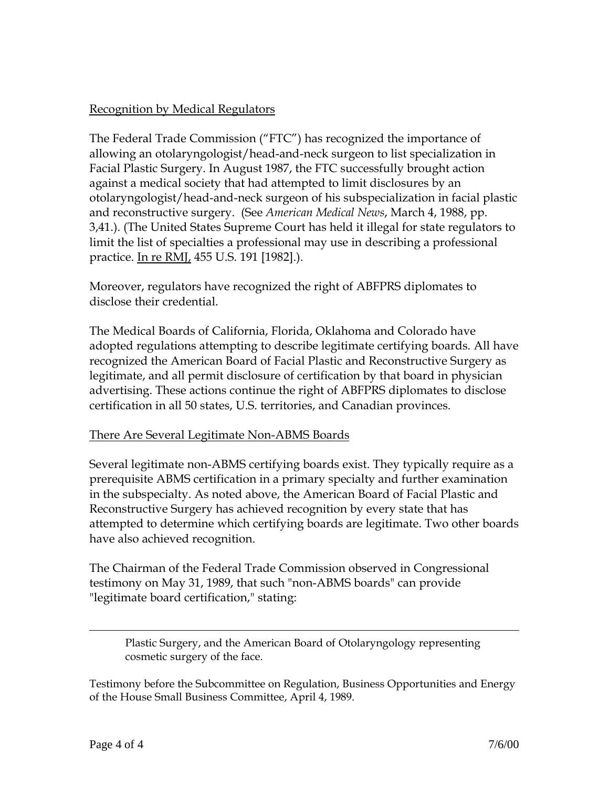#### Recognition by Medical Regulators

The Federal Trade Commission ("FTC") has recognized the importance of allowing an otolaryngologist/head-and-neck surgeon to list specialization in Facial Plastic Surgery. In August 1987, the FTC successfully brought action against a medical society that had attempted to limit disclosures by an otolaryngologist/head-and-neck surgeon of his subspecialization in facial plastic and reconstructive surgery. (See *American Medical News*, March 4, 1988, pp. 3,41.). (The United States Supreme Court has held it illegal for state regulators to limit the list of specialties a professional may use in describing a professional practice. In re RMJ, 455 U.S. 191 [1982].).

Moreover, regulators have recognized the right of ABFPRS diplomates to disclose their credential.

The Medical Boards of California, Florida, Oklahoma and Colorado have adopted regulations attempting to describe legitimate certifying boards. All have recognized the American Board of Facial Plastic and Reconstructive Surgery as legitimate, and all permit disclosure of certification by that board in physician advertising. These actions continue the right of ABFPRS diplomates to disclose certification in all 50 states, U.S. territories, and Canadian provinces.

#### There Are Several Legitimate Non-ABMS Boards

Several legitimate non-ABMS certifying boards exist. They typically require as a prerequisite ABMS certification in a primary specialty and further examination in the subspecialty. As noted above, the American Board of Facial Plastic and Reconstructive Surgery has achieved recognition by every state that has attempted to determine which certifying boards are legitimate. Two other boards have also achieved recognition.

The Chairman of the Federal Trade Commission observed in Congressional testimony on May 31, 1989, that such "non-ABMS boards" can provide "legitimate board certification," stating:

Plastic Surgery, and the American Board of Otolaryngology representing cosmetic surgery of the face.

Testimony before the Subcommittee on Regulation, Business Opportunities and Energy of the House Small Business Committee, April 4, 1989.

 $\overline{a}$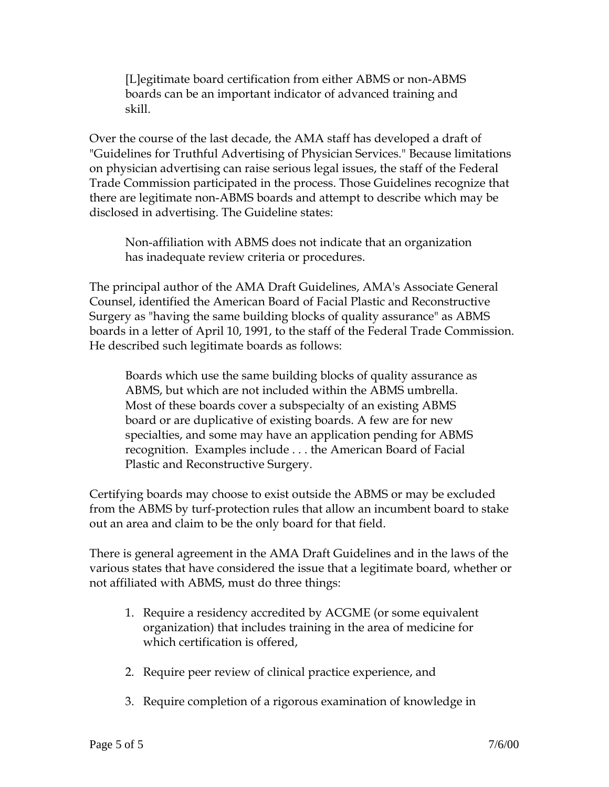[L]egitimate board certification from either ABMS or non-ABMS boards can be an important indicator of advanced training and skill.

Over the course of the last decade, the AMA staff has developed a draft of "Guidelines for Truthful Advertising of Physician Services." Because limitations on physician advertising can raise serious legal issues, the staff of the Federal Trade Commission participated in the process. Those Guidelines recognize that there are legitimate non-ABMS boards and attempt to describe which may be disclosed in advertising. The Guideline states:

Non-affiliation with ABMS does not indicate that an organization has inadequate review criteria or procedures.

The principal author of the AMA Draft Guidelines, AMA's Associate General Counsel, identified the American Board of Facial Plastic and Reconstructive Surgery as "having the same building blocks of quality assurance" as ABMS boards in a letter of April 10, 1991, to the staff of the Federal Trade Commission. He described such legitimate boards as follows:

Boards which use the same building blocks of quality assurance as ABMS, but which are not included within the ABMS umbrella. Most of these boards cover a subspecialty of an existing ABMS board or are duplicative of existing boards. A few are for new specialties, and some may have an application pending for ABMS recognition. Examples include . . . the American Board of Facial Plastic and Reconstructive Surgery.

Certifying boards may choose to exist outside the ABMS or may be excluded from the ABMS by turf-protection rules that allow an incumbent board to stake out an area and claim to be the only board for that field.

There is general agreement in the AMA Draft Guidelines and in the laws of the various states that have considered the issue that a legitimate board, whether or not affiliated with ABMS, must do three things:

- 1. Require a residency accredited by ACGME (or some equivalent organization) that includes training in the area of medicine for which certification is offered,
- 2. Require peer review of clinical practice experience, and
- 3. Require completion of a rigorous examination of knowledge in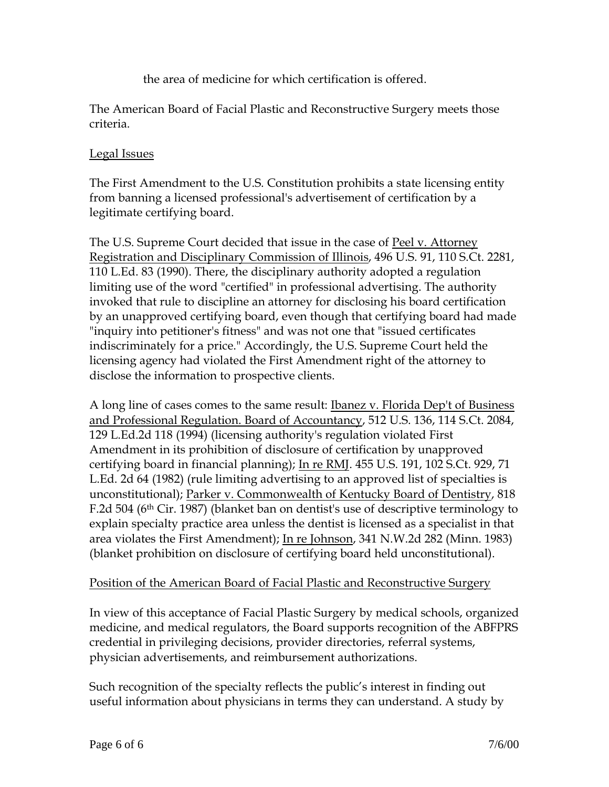the area of medicine for which certification is offered.

The American Board of Facial Plastic and Reconstructive Surgery meets those criteria.

#### Legal Issues

The First Amendment to the U.S. Constitution prohibits a state licensing entity from banning a licensed professional's advertisement of certification by a legitimate certifying board.

The U.S. Supreme Court decided that issue in the case of Peel v. Attorney Registration and Disciplinary Commission of Illinois, 496 U.S. 91, 110 S.Ct. 2281, 110 L.Ed. 83 (1990). There, the disciplinary authority adopted a regulation limiting use of the word "certified" in professional advertising. The authority invoked that rule to discipline an attorney for disclosing his board certification by an unapproved certifying board, even though that certifying board had made "inquiry into petitioner's fitness" and was not one that "issued certificates indiscriminately for a price." Accordingly, the U.S. Supreme Court held the licensing agency had violated the First Amendment right of the attorney to disclose the information to prospective clients.

A long line of cases comes to the same result: Ibanez v. Florida Dep't of Business and Professional Regulation. Board of Accountancy, 512 U.S. 136, 114 S.Ct. 2084, 129 L.Ed.2d 118 (1994) (licensing authority's regulation violated First Amendment in its prohibition of disclosure of certification by unapproved certifying board in financial planning); In re RMJ. 455 U.S. 191, 102 S.Ct. 929, 71 L.Ed. 2d 64 (1982) (rule limiting advertising to an approved list of specialties is unconstitutional); Parker v. Commonwealth of Kentucky Board of Dentistry, 818 F.2d 504 (6th Cir. 1987) (blanket ban on dentist's use of descriptive terminology to explain specialty practice area unless the dentist is licensed as a specialist in that area violates the First Amendment); In re Johnson, 341 N.W.2d 282 (Minn. 1983) (blanket prohibition on disclosure of certifying board held unconstitutional).

#### Position of the American Board of Facial Plastic and Reconstructive Surgery

In view of this acceptance of Facial Plastic Surgery by medical schools, organized medicine, and medical regulators, the Board supports recognition of the ABFPRS credential in privileging decisions, provider directories, referral systems, physician advertisements, and reimbursement authorizations.

Such recognition of the specialty reflects the public's interest in finding out useful information about physicians in terms they can understand. A study by